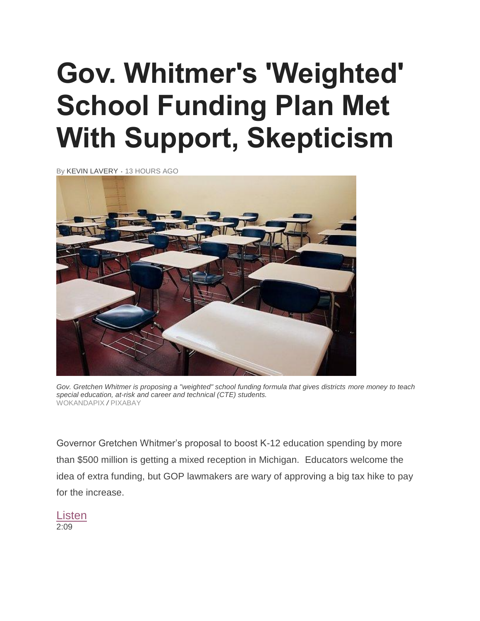## **Gov. Whitmer's 'Weighted' School Funding Plan Met With Support, Skepticism**

By [KEVIN LAVERY](https://www.wkar.org/people/kevin-lavery) *•* 13 HOURS AGO



*Gov. Gretchen Whitmer is proposing a "weighted" school funding formula that gives districts more money to teach special education, at-risk and career and technical (CTE) students.* WOKANDAPIX */* PIXABAY

Governor Gretchen Whitmer's proposal to boost K-12 education spending by more than \$500 million is getting a mixed reception in Michigan. Educators welcome the idea of extra funding, but GOP lawmakers are wary of approving a big tax hike to pay for the increase.

[Listen](https://cpa.ds.npr.org/wkar/audio/2019/03/190307weighted_for_web.mp3) 2:09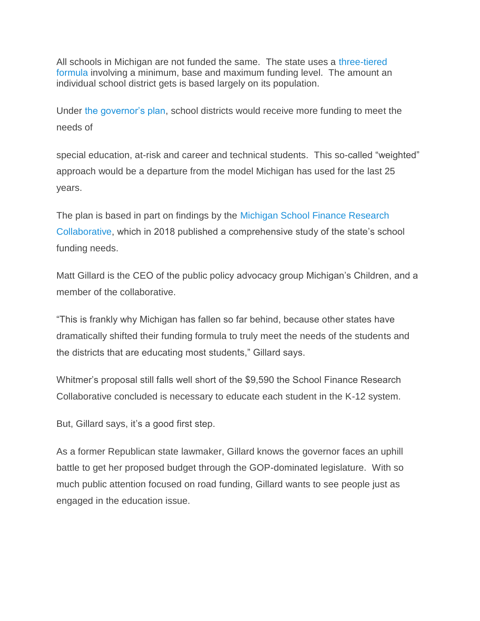All schools in Michigan are not funded the same. The state uses a [three-tiered](http://www.house.mi.gov/hfa/PDF/Alpha/Fiscal_Brief_Basics_of_the_Foundation_Allowance_FY19_Update_Nov2018.pdf)  [formula](http://www.house.mi.gov/hfa/PDF/Alpha/Fiscal_Brief_Basics_of_the_Foundation_Allowance_FY19_Update_Nov2018.pdf) involving a minimum, base and maximum funding level. The amount an individual school district gets is based largely on its population.

Under [the governor's plan,](https://www.michigan.gov/whitmer/0,9309,7-387-90499_91677---,00.html) school districts would receive more funding to meet the needs of

special education, at-risk and career and technical students. This so-called "weighted" approach would be a departure from the model Michigan has used for the last 25 years.

The plan is based in part on findings by the [Michigan School Finance Research](https://www.fundmischools.org/wp-content/uploads/2018/01/School-Finance-Research-Collaborative-Report.pdf)  [Collaborative,](https://www.fundmischools.org/wp-content/uploads/2018/01/School-Finance-Research-Collaborative-Report.pdf) which in 2018 published a comprehensive study of the state's school funding needs.

Matt Gillard is the CEO of the public policy advocacy group Michigan's Children, and a member of the collaborative.

"This is frankly why Michigan has fallen so far behind, because other states have dramatically shifted their funding formula to truly meet the needs of the students and the districts that are educating most students," Gillard says.

Whitmer's proposal still falls well short of the \$9,590 the School Finance Research Collaborative concluded is necessary to educate each student in the K-12 system.

But, Gillard says, it's a good first step.

As a former Republican state lawmaker, Gillard knows the governor faces an uphill battle to get her proposed budget through the GOP-dominated legislature. With so much public attention focused on road funding, Gillard wants to see people just as engaged in the education issue.